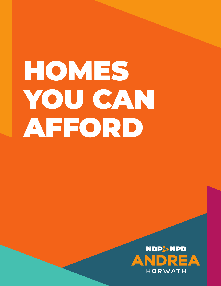# HOMES YOU CAN AFFORD

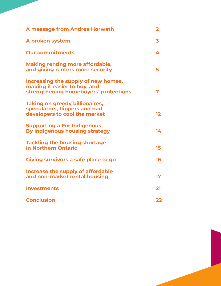| A message from Andrea Horwath                                                                                | 2  |
|--------------------------------------------------------------------------------------------------------------|----|
| A broken system                                                                                              | 3  |
| <b>Our commitments</b>                                                                                       | 4  |
| <b>Making renting more affordable,</b><br>and giving renters more security                                   | 5  |
| Increasing the supply of new homes,<br>making it easier to buy, and<br>strengthening homebuyers' protections | 7  |
| <b>Taking on greedy billionaires,</b><br>speculators, flippers and bad<br>developers to cool the market      | 12 |
| <b>Supporting a For Indigenous,</b><br>By Indigenous housing strategy                                        | 14 |
| <b>Tackling the housing shortage</b><br>in Northern Ontario                                                  | 15 |
| Giving survivors a safe place to go                                                                          | 16 |
| Increase the supply of affordable<br>and non-market rental housing                                           | 17 |
| <b>Investments</b>                                                                                           | 21 |
| <b>Conclusion</b>                                                                                            | 22 |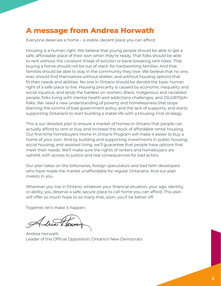## **A message from Andrea Horwath**

Everyone deserves a home – a stable, decent place you can afford.

Housing is a human right. We believe that young people should be able to get a safe, affordable place of their own when they're ready. That folks should be able to rent without the constant threat of eviction or bank-breaking rent hikes. That buying a home should not be out of reach for hardworking families. And that families should be able to stay in the community they love. We believe that no one, ever, should find themselves without shelter, and without housing options that fit their needs and abilities. No one in Ontario should be denied the basic human right of a safe place to live. Housing precarity is caused by economic inequality and social injustice, and lands the hardest on women, Black, Indigenous and racialized people, folks living with mental health and addictions challenges, and 2SLGBTQIA+ folks. We need a new understanding of poverty and homelessness that stops blaming the victims of bad government policy and the lack of supports, and starts supporting Ontarians to start building a stable life with a Housing First strategy.

This is our detailed plan to ensure a market of homes in Ontario that people can actually afford to rent or buy, and increase the stock of affordable rental housing. Our first-time homebuyers Home In Ontario Program will make it easier to buy a home of your own. And by building and supporting investments in public housing, social housing, and assisted living, we'll guarantee that people have options that meet their needs. We'll make sure the rights of renters and homebuyers are upheld, with access to justice and real consequences for bad actors.

Our plan takes on the billionaires, foreign speculators and bad faith developers who have made the market unaffordable for regular Ontarians. And our plan invests in you.

Wherever you live in Ontario, whatever your financial situation, your age, identity, or ability, you deserve a safe, secure place to call home you can afford. This plan will offer so much hope to so many that, soon, you'll be better off.

Together, let's make it happen.

Andrea Horwath Leader of the Official Opposition, Ontario's New Democrats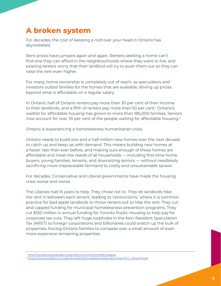## **A broken system**

For decades, the cost of keeping a roof over your head in Ontario has skyrocketed.

Rent prices have jumped again and again. Renters seeking a home can't find one they can afford in the neighbourhoods where they want to live, and existing renters worry that their landlord will try to push them out so they can raise the rent even higher.

For many, home ownership is completely out of reach, as speculators and investors outbid families for the homes that are available, driving up prices beyond what is affordable on a regular salary.

In Ontario, half of Ontario renters pay more than 30 per cent of their income to their landlords, and a fifth of renters pay more than 50 per cent.<sup>1</sup> Ontario's waitlist for affordable housing has grown to more than 185,000 families. Seniors now account for over 35 per cent of the people waiting for affordable housing.<sup>2</sup>

Ontario is experiencing a homelessness humanitarian crisis.

Ontario needs to build one and a half million new homes over the next decade to catch up and keep up with demand. This means building new homes at a faster rate than ever before, and making sure enough of these homes are affordable and meet the needs of all households — including first-time home buyers, young families, tenants, and downsizing seniors — without needlessly sacrificing more irreplaceable farmland to costly and unsustainable sprawl.

For decades, Conservative and Liberal governments have made the housing crisis worse and worse.

The Liberals had 15 years to help. They chose not to. They let landlords hike the rent in between each tenant, leading to 'renovictions,' where it is common practice for bad apple landlords to throw renters out to hike the rent. They cut and capped funding for municipal homelessness prevention programs. They cut \$150 million in annual funding for Toronto Public Housing to help pay for corporate tax cuts. They left huge loopholes in the Non-Resident Speculation Tax (NRST) so foreign corporations and billionaires could snatch up the bulk of properties, forcing Ontario families to compete over a small amount of even more expensive remaining properties.

<sup>&</sup>lt;sup>1</sup> http://rentalhousingindex.ca/en/#CommunityProfileCollapse

<sup>2</sup> https://www.auditor.on.ca/en/content/annualreports/arreports/en17/v1\_314en17.pdf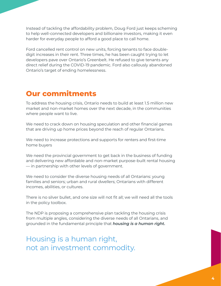Instead of tackling the affordability problem, Doug Ford just keeps scheming to help well-connected developers and billionaire investors, making it even harder for everyday people to afford a good place to call home.

Ford cancelled rent control on new units, forcing tenants to face doubledigit increases in their rent. Three times, he has been caught trying to let developers pave over Ontario's Greenbelt. He refused to give tenants any direct relief during the COVID-19 pandemic. Ford also callously abandoned Ontario's target of ending homelessness.

## **Our commitments**

To address the housing crisis, Ontario needs to build at least 1.5 million new market and non-market homes over the next decade, in the communities where people want to live.

We need to crack down on housing speculation and other financial games that are driving up home prices beyond the reach of regular Ontarians.

We need to increase protections and supports for renters and first-time home buyers

We need the provincial government to get back in the business of funding and delivering new affordable and non-market purpose-built rental housing — in partnership with other levels of government.

We need to consider the diverse housing needs of all Ontarians: young families and seniors; urban and rural dwellers; Ontarians with different incomes, abilities, or cultures.

There is no silver bullet, and one size will not fit all; we will need all the tools in the policy toolbox.

The NDP is proposing a comprehensive plan tackling the housing crisis from multiple angles, considering the diverse needs of all Ontarians, and grounded in the fundamental principle that *housing is a human right.*

Housing is a human right, not an investment commodity.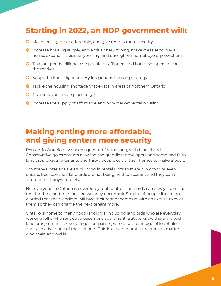# **Starting in 2022, an NDP government will:**

- © Make renting more affordable, and give renters more security
- © Increase housing supply, end exclusionary zoning, make it easier to buy a home, expand inclusionary zoning, and strengthen homebuyers' protections
- © Take on greedy billionaires, speculators, flippers and bad developers to cool the market
- © Support a For Indigenous, By Indigenous housing strategy
- © Tackle the housing shortage that exists in areas of Northern Ontario
- © Give survivors a safe place to go
- © Increase the supply of affordable and non-market rental housing

## **Making renting more affordable, and giving renters more security**

Renters in Ontario have been squeezed for too long, with Liberal and Conservative governments allowing the greediest developers and some bad faith landlords to gouge tenants and throw people out of their homes to make a buck.

Too many Ontarians are stuck living in rental units that are run down or even unsafe, because their landlords are not being held to account and they can't afford to rent anywhere else.

Not everyone in Ontario is covered by rent control. Landlords can always raise the rent for the next tenant (called vacancy decontrol). So a lot of people live in fear, worried that their landlord will hike their rent or come up with an excuse to evict them so they can charge the next tenant more.

Ontario is home to many good landlords, including landlords who are everyday working folks who rent out a basement apartment. But we know there are bad landlords, sometimes very large companies, who take advantage of loopholes, and take advantage of their tenants. This is a plan to protect renters no matter who their landlord is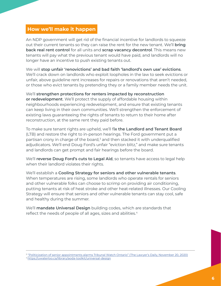#### **How we'll make it happen**

An NDP government will get rid of the financial incentive for landlords to squeeze out their current tenants so they can raise the rent for the new tenant. We'll **bring back real rent control** for all units and **scrap vacancy decontrol**. This means new tenants will pay what the previous tenant would have paid, and landlords will no longer have an incentive to push existing tenants out.

We will **stop unfair 'renovictions' and bad faith 'landlord's own use' evictions**. We'll crack down on landlords who exploit loopholes in the law to seek evictions or unfair, above guideline rent increases for repairs or renovations that aren't needed, or those who evict tenants by pretending they or a family member needs the unit.

#### We'll **strengthen protections for renters impacted by reconstruction**

**or redevelopment**. We'll protect the supply of affordable housing within neighbourhoods experiencing redevelopment, and ensure that existing tenants can keep living in their own communities. We'll strengthen the enforcement of existing laws guaranteeing the rights of tenants to return to their home after reconstruction, at the same rent they paid before.

To make sure tenant rights are upheld, we'll f**ix the Landlord and Tenant Board** (LTB) and restore the right to in-person hearings. The Ford government put a partisan crony in charge of the board,<sup>3</sup> and then stacked it with underqualified adjudicators. We'll end Doug Ford's unfair "eviction blitz," and make sure tenants and landlords can get prompt and fair hearings before the board.

We'll **reverse Doug Ford's cuts to Legal Aid**, so tenants have access to legal help when their landlord violates their rights.

We'll establish a **Cooling Strategy for seniors and other vulnerable tenants**. When temperatures are rising, some landlords who operate rentals for seniors and other vulnerable folks can choose to scrimp on providing air conditioning, putting tenants at risk of heat stroke and other heat-related illnesses. Our Cooling Strategy will ensure that seniors and other vulnerable tenants can stay cool, safe and healthy during the summer.

We'll **mandate Universal Design** building codes, which are standards that reflect the needs of people of all ages, sizes and abilities.<sup>4</sup>

<sup>&</sup>lt;sup>3</sup> "Politicization of senior appointments alarms Tribunal Watch Ontario" (The Lawyer's Daily, November 20, 2020)

<sup>4</sup> https://uwaterloo.ca/library/aoda-toolkit/universal-design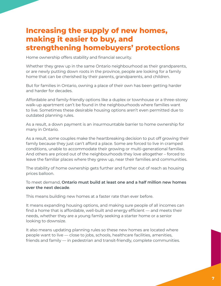## **Increasing the supply of new homes, making it easier to buy, and strengthening homebuyers' protections**

Home ownership offers stability and financial security.

Whether they grew up in the same Ontario neighbourhood as their grandparents, or are newly putting down roots in the province, people are looking for a family home that can be cherished by their parents, grandparents, and children.

But for families in Ontario, owning a place of their own has been getting harder and harder for decades.

Affordable and family-friendly options like a duplex or townhouse or a three-storey walk-up apartment can't be found in the neighbourhoods where families want to live. Sometimes these desirable housing options aren't even permitted due to outdated planning rules.

As a result, a down payment is an insurmountable barrier to home ownership for many in Ontario.

As a result, some couples make the heartbreaking decision to put off growing their family because they just can't afford a place. Some are forced to live in cramped conditions, unable to accommodate their growing or multi-generational families. And others are priced out of the neighbourhoods they love altogether – forced to leave the familiar places where they grew up, near their families and communities.

The stability of home ownership gets further and further out of reach as housing prices balloon.

#### To meet demand, **Ontario must build at least one and a half million new homes over the next decade**.

This means building new homes at a faster rate than ever before.

It means expanding housing options, and making sure people of all incomes can find a home that is affordable, well-built and energy efficient — and meets their needs, whether they are a young family seeking a starter home or a senior looking to downsize.

It also means updating planning rules so these new homes are located where people want to live — close to jobs, schools, healthcare facilities, amenities, friends and family — in pedestrian and transit-friendly, complete communities.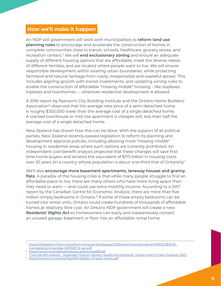#### **How we'll make it happen**

An NDP will government will work with municipalities to **reform land use planning rules** to encourage and accelerate the construction of homes in *complete communities* close to transit, schools, healthcare, grocery stores, and recreation centers.<sup>5</sup> We will **end exclusionary zoning** and ensure an adequate supply of different housing options that are affordable, meet the diverse needs of different families, and are located where people want to live. We will ensure responsible development within existing urban boundaries, while protecting farmland and natural heritage from costly, irresponsible and wasteful sprawl. This includes aligning growth with transit investments, and updating zoning rules to enable the construction of affordable "missing middle" housing – like duplexes, triplexes and townhomes — wherever residential development is allowed.

A 2016 report by Ryerson's City Building Institute and the Ontario Home Builders' Association<sup>6</sup> observed that the average new price of a semi-detached home is roughly \$350,000 lower than the average cost of a single detached home. A stacked townhouse or mid-rise apartment is cheaper still, less than half the average cost of a single detached home.

New Zealand has shown how this can be done. With the support of all political parties, New Zealand recently passed legislation to reform its planning and development approval policies, including allowing more "missing middle" housing in residential areas where such options are currently prohibited. An independent cost-benefit analysis projected that these changes will save firsttime home buyers and tenants the equivalent of \$175 billion in housing costs over 20 years (in a country whose population is about one-third that of Ontario's).<sup>7</sup>

We'll also **encourage more basement apartments, laneway houses and granny flats**. A paradox of the housing crisis is that while many people struggle to find an affordable place to live, there are many others who have more living space than they need or want — and could use extra monthly income. According to a 2017 report by the Canadian Centre for Economic Analysis, there are more than five million empty bedrooms in Ontario.<sup>8</sup> If some of these empty bedrooms can be turned into rental units, Ontario could create hundreds of thousands of affordable homes at relatively little cost. An Ontario NDP government will create a new *Residents' Rights Act* so homeowners can easily and inexpensively convert an unused garage, basement or floor into an affordable rental home.

<sup>5</sup> https://d3n8a8pro7vhmx.cloudfront.net/greenbelt/pages/12315/attachments/original/1593022385/GB\_ CompleteCommunities\_REPORT\_E-ver.pdf

<sup>6</sup> https://www.citybuildinginstitute.ca/download/6428

<sup>7</sup> "Cost-benefit analysis – proposed medium density residential standards" (Government of New Zealand, 2021)

<sup>8</sup> https://rescon.com/news/files/Affordability-Phase2-report.pdf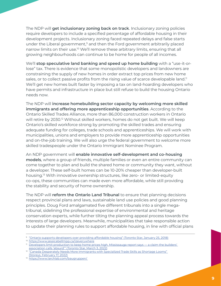The NDP will **get inclusionary zoning back on track**. Inclusionary zoning policies require developers to include a specified percentage of affordable housing in their development projects. Inclusionary zoning faced repeated delays and false starts under the Liberal government, $9$  and then the Ford government arbitrarily placed narrow limits on their use.<sup>10</sup> We'll remove these arbitrary limits, ensuring that all growing neighbourhoods can continue to be home for people of all incomes.

We'll **stop speculative land banking and speed up home building** with a "use-it-orlose" tax. There is evidence that some monopolistic developers and landowners are constraining the supply of new homes in order extract top prices from new home sales, or to collect passive profits from the rising value of scarce developable land.<sup>11</sup> We'll get new homes built faster by imposing a tax on land-hoarding developers who have permits and infrastructure in place but still refuse to build the housing Ontario needs now.

The NDP will **increase homebuilding sector capacity by welcoming more skilled immigrants and offering more apprenticeship opportunities**. According to the Ontario Skilled Trades Alliance, more than 86,000 construction workers in Ontario will retire by 2030.12 Without skilled workers, homes do not get built. We will keep Ontario's skilled workforce strong by promoting the skilled trades and ensuring adequate funding for colleges, trade schools and apprenticeships. We will work with municipalities, unions and employers to provide more apprenticeship opportunities and on-the-job training. We will also urge the federal government to welcome more skilled tradespeople under the Ontario Immigrant Nominee Program.

An NDP government will **enable innovative self-development and co-housing models**, where a group of friends, multiple families or even an entire community can come together to plan and build the shared home or community they want, without a developer. These self-built homes can be 10-20% cheaper than developer-built housing.<sup>13</sup> With innovative ownership structures, like zero- or limited-equity co-ops, these communities can made even more affordable, while still providing the stability and security of home ownership.

The NDP will **reform the Ontario Land Tribunal** to ensure that planning decisions respect provincial plans and laws, sustainable land use policies and good planning principles. Doug Ford amalgamated five different tribunals into a single megatribunal, sidelining the professional expertise of environmental and heritage conservation experts, while further tilting the planning appeal process towards the interests of large developers. Meanwhile, municipalities that take responsible action to update their planning rules to support affordable housing, in line with official plans

<sup>&</sup>lt;sup>9</sup> "Ontario supports developers over providing affordable housing" (Toronto Star, January 25, 2018)

<sup>&</sup>lt;sup>10</sup> https://www.jessicabellmpp.ca/izeverywhere

<sup>&</sup>lt;sup>11</sup> Developers limit production to keep home prices high, Mississauga report says — a claim the builders' association calls 'absurd'" (Toronto Star, March 3, 2022)

<sup>&</sup>lt;sup>12</sup> "Canada Desperately Needs More Immigrants with Specialized Trade Skills as Shortage Looms" (Storeys, February 17, 2022)

<sup>13</sup> https://www.larchlab.com/baugruppen/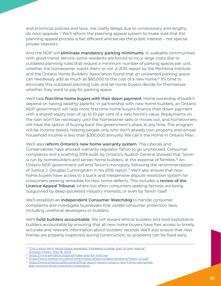and provincial policies and laws, risk costly delays due to unnecessary and lengthy *de novo* appeals.<sup>14</sup> We'll reform the planning appeal system to make sure that the planning appeal process is fair, efficient and serves the public interest – not special private interests.

And the NDP will **eliminate mandatory parking minimums**. In walkable communities with good transit service, some residents are forced to incur large costs due to outdated planning rules that require a minimum number of parking spaces per unit, whether the homeowner wants them or not. A 2015 report by the Pembina Institute and the Ontario Home Builders' Association found that an unwanted parking space can needlessly add as much as \$60,000 to the cost of a new home.15 It's time to eliminate this outdated planning rule, and let home buyers decide for themselves whether they want to pay for parking space.

We'll help **first-time home buyers with their down payment**. Home ownership shouldn't depend on having wealthy parents. In partnership with new home builders, an Ontario NDP government will help more first-time home buyers finance their down payment with a shared equity loan of up to 10 per cent of a new home's value. Repayments on the loan won't be necessary until the homeowner sells or moves out, and homeowners will have the option of buying back the government's share at any time. The program will be income tested, helping people only who don't already own property and whose household income is less than \$200,000 annually. We call it the Home in Ontario Plan.

We'll also **reform Ontario's new home warranty system**. The Liberals and Conservatives have allowed warranty regulator Tarion to go unchecked. Consumer complaints and a scathing 2019 audit by Ontario's Auditor General showed that Tarion is run by homebuilders and serves home builders, at the expense of families.<sup>16</sup> An Ontario NDP government will end Tarion's monopoly, following the recommendation of Justice J. Douglas Cunningham in his 2016 report.17 We'll also ensure that new home buyers have access to a quick and inexpensive dispute resolution system for consumers seeking remedies for new home defects. This includes a **review of the Licence Appeal Tribunal**, where too often consumers seeking fairness are being outgunned by deep-pocketed industry interests, or even by Tarion itself.

We'll establish an **independent Consumer Watchdog** to handle consumer complaints and investigate businesses that violate consumer protection laws, including unethical developers or builders.

We'll **hold builders accountable**. We will reward ethical builders and hold exploitative builders accountable by ensuring that all new home buyers have free access to timely, accurate and relevant information about builders' records. We'll also ensure that new homes are properly inspected during construction, so problems can be fixed early.

<sup>&</sup>lt;sup>14</sup> "City's short-term rental bylaw appealed, threatens to delay start of new regime" (Ottawa Citizen, May 18, 2021)

<sup>&</sup>lt;sup>15</sup> https://www.pembina.org/pub/make-way-for-mid-rise

<sup>&</sup>lt;sup>16</sup> https://www.auditor.on.ca/en/content/specialreports/specialreports/Tarion\_en.pdf

<sup>&</sup>lt;sup>17</sup> https://www.ontario.ca/document/final-report-review-ontario-new-home-warrantiesplan-act-and-tarion-warranty-corporation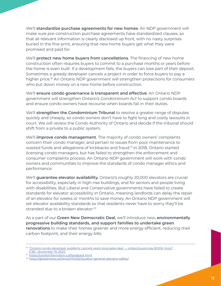We'll **standardize purchase agreements for new homes**. An NDP government will make sure pre-construction purchase agreements have standardized clauses, so that all relevant information is clearly disclosed up front, with no nasty surprises buried in the fine print, ensuring that new home buyers get what they were promised and paid for.

We'll **protect new home buyers from cancellations**. The financing of new home construction often requires buyers to commit to a purchase months or years before the home is even built. If a development fails, the buyers can lose part of their deposit. Sometimes a greedy developer cancels a project in order to force buyers to pay a higher price.<sup>18</sup> An Ontario NDP government will strengthen protections for consumers who put down money on a new home before construction.

We'll **ensure condo governance is transparent and effective**. An Ontario NDP government will strengthen Ontario's *Condominium Act* to support condo boards and ensure condo owners have recourse when boards fail in their duties.

We'll **strengthen the Condominium Tribunal** to resolve a greater range of disputes quickly and cheaply, so condo owners don't have to fight long and costly lawsuits in court. We will review the Condo Authority of Ontario and decide if the tribunal should shift from a private to a public system.

We'll **improve condo management**. The majority of condo owners' complaints concern their condo manager, and pertain to issues from poor maintenance to wasted funds and allegations of kickbacks and fraud.19 In 2018, Ontario started licensing condo managers, but has failed to strengthen the enforcement and consumer complaints process. An Ontario NDP government will work with condo owners and communities to improve the standards of condo manager ethics and performance.

We'll **guarantee elevator availability**. Ontario's roughly 20,000 elevators are crucial for accessibility, especially in high-rise buildings, and for seniors and people living with disabilities. But Liberal and Conservative governments have failed to create standards for elevator accessibility in Ontario, meaning landlords can delay the repair of an elevator for weeks or months to save money. An Ontario NDP government will set elevator availability standards so that residents never have to worry they'll be stranded due to a broken elevator.<sup>20</sup>

As a part of our **Green New Democratic Deal**, we'll introduce new, **environmentally progressive building standards, and support families to undertake green renovations** to make their homes greener and more energy efficient, reducing their carbon footprint, and their energy bills.

<sup>&</sup>lt;sup>18</sup> "Ontario condo developer suddenly cancels years-long sales deal — unless buyers pay \$100K more" (CBC, November 19, 2021)

<sup>19</sup> https://condoinformation.ca/feedback.html

<sup>20</sup> https://globalnews.ca/news/4740321/auditor-general-elevator-safety/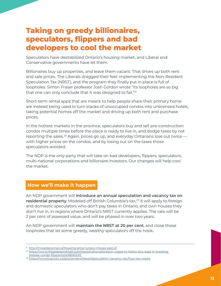## **Taking on greedy billionaires, speculators, flippers and bad developers to cool the market**

Speculators have destabilized Ontario's housing market, and Liberal and Conservative governments have let them.

Billionaires buy up properties, and leave them vacant. That drives up both rent and sale prices. The Liberals dragged their feet implementing the Non-Resident Speculation Tax (NRST), and the program they finally put in place is full of loopholes. Simon Fraser professor Josh Gordon wrote "its loopholes are so big that one can only conclude that it was designed to fail."<sup>21</sup>

Short-term rental apps that are meant to help people share their primary home are instead being used to turn stacks of unoccupied condos into unlicensed hotels, taking potential homes off the market and driving up both rent and purchase prices.

In the hottest markets in the province, speculators buy and sell pre-construction condos multiple times before the place is ready to live in, and dodge taxes by not reporting the sales.<sup>22</sup> Again, prices go up, and everyday Ontarians lose out twice with higher prices on the condos, and by losing out on the taxes those speculators avoided.

The NDP is the only party that will take on bad developers, flippers, speculators, multi-national corporations and billionaire investors. Our changes will help cool the market.

### **How we'll make it happen**

An NDP government will **introduce an annual speculation and vacancy tax on**  residential property. Modeled off British Columbia's tax,<sup>23</sup> it will apply to foreign and domestic speculators who don't pay taxes in Ontario, and own houses they don't live in, in regions where Ontario's NRST currently applies. The rate will be 2 per cent of assessed value, and will be phased in over two years.

An NDP government will **maintain the NRST at 20 per cent**, and close those loopholes that let some greedy, wealthy speculators off the hook.

<sup>&</sup>lt;sup>21</sup> http://inroadsjournal.ca/housing-price-lunacy-moves-east-2/

<sup>22</sup> https://www.theglobeandmail.com/news/national/ontario-urged-to-follow-bcs-lead-in-trackingpresale-condo-flips/article38061531/

<sup>23</sup> https://www2.gov.bc.ca/gov/content/taxes/speculation-vacancy-tax/how-tax-works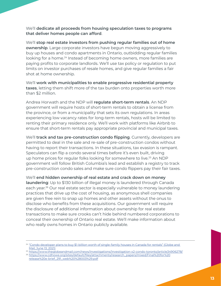We'll **dedicate all proceeds from housing speculation taxes to programs that deliver homes people can afford**.

We'll **stop real estate investors from pushing regular families out of home ownership**. Large corporate investors have begun moving aggressively to buy up houses and condo apartments in Ontario, outbidding regular families looking for a home.<sup>24</sup> Instead of becoming home owners, more families are paying profits to corporate landlords. We'll use tax policy or regulation to put limits on investor purchases of resale homes, and give regular families a fair shot at home ownership.

We'll **work with municipalities to enable progressive residential property taxes**, letting them shift more of the tax burden onto properties worth more than \$2 million.

Andrea Horwath and the NDP will **regulate short-term rentals**. An NDP government will require hosts of short-term rentals to obtain a license from the province, or from a municipality that sets its own regulations. In areas experiencing low vacancy rates for long-term rentals, hosts will be limited to renting their primary residence only. We'll work with platforms like Airbnb to ensure that short-term rentals pay appropriate provincial and municipal taxes.

We'll **track and tax pre-construction condo flipping**. Currently, developers are permitted to deal in the sale and re-sale of pre-construction condos without having to report their transactions. In these situations, tax evasion is rampant. Speculators can flip a condo several times before it's even built, driving up home prices for regular folks looking for somewhere to live.<sup>25</sup> An NDP government will follow British Columbia's lead and establish a registry to track pre-construction condo sales and make sure condo flippers pay their fair taxes.

We'll **end hidden ownership of real estate and crack down on money laundering**: Up to \$130 billion of illegal money is laundered through Canada each year.26 Our real estate sector is especially vulnerable to money laundering practices that drive up the cost of housing, as anonymous shell companies are given free rein to snap up homes and other assets without the onus to disclose who benefits from these acquisitions. Our government will require the disclosure of additional information about ownership for real estate transactions to make sure crooks can't hide behind numbered corporations to conceal their ownership of Ontario real estate. We'll make information about who really owns homes in Ontario publicly available.

<sup>&</sup>lt;sup>24</sup> "Condo developer plans to buy \$1-billion worth of single-family houses in Canada for rentals" (Globe and Mail, June 13, 2021)

<sup>25</sup> https://www.theglobeandmail.com/news/investigations/investigation-x2-condo-toronto/article34906278/

<sup>26</sup> https://www.cdhowe.org/sites/default/files/attachments/research\_papers/mixed/Final%20for%20 release%20e-brief\_291\_web%20%28003%29.pdf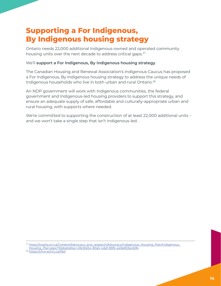## **Supporting a For Indigenous, By Indigenous housing strategy**

Ontario needs 22,000 additional Indigenous-owned and operated community housing units over the next decade to address critical gaps.<sup>27</sup>

#### We'll **support a For Indigenous, By Indigenous housing strategy**.

The Canadian Housing and Renewal Association's Indigenous Caucus has proposed a For Indigenous, By Indigenous housing strategy to address the unique needs of Indigenous households who live in both urban and rural Ontario.<sup>28</sup>

An NDP government will work with Indigenous communities, the federal government and Indigenous-led housing providers to support this strategy, and ensure an adequate supply of safe, affordable and culturally-appropriate urban and rural housing, with supports where needed.

We're committed to supporting the construction of at least 22,000 additional units – and we won't take a single step that isn't Indigenous-led.

<sup>27</sup> https://onpha.on.ca/Content/Advocacy\_and\_research/Advocacy/Indigenous\_Housing\_Plan/Indigenous\_ Housing\_Plan.aspx?WebsiteKey=49cb1e54-80a5-4daf-85fb-a49e833ec60b

<sup>28</sup> https://chra-achru.ca/fibi/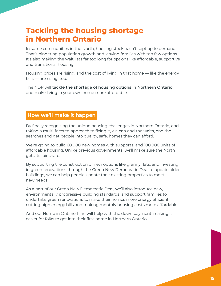## **Tackling the housing shortage in Northern Ontario**

In some communities in the North, housing stock hasn't kept up to demand. That's hindering population growth and leaving families with too few options. It's also making the wait lists far too long for options like affordable, supportive and transitional housing.

Housing prices are rising, and the cost of living in that home — like the energy bills — are rising, too.

The NDP will **tackle the shortage of housing options in Northern Ontario**, and make living in your own home more affordable.

#### **How we'll make it happen**

By finally recognizing the unique housing challenges in Northern Ontario, and taking a multi-faceted approach to fixing it, we can end the waits, end the searches and get people into quality, safe, homes they can afford.

We're going to build 60,000 new homes with supports, and 100,000 units of affordable housing. Unlike previous governments, we'll make sure the North gets its fair share.

By supporting the construction of new options like granny flats, and investing in green renovations through the Green New Democratic Deal to update older buildings, we can help people update their existing properties to meet new needs.

As a part of our Green New Democratic Deal, we'll also introduce new, environmentally progressive building standards, and support families to undertake green renovations to make their homes more energy efficient, cutting high energy bills and making monthly housing costs more affordable.

And our Home in Ontario Plan will help with the down payment, making it easier for folks to get into their first home in Northern Ontario.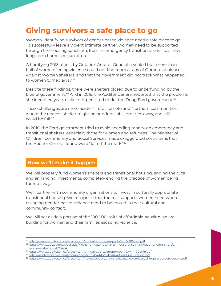# **Giving survivors a safe place to go**

Women-identifying survivors of gender-based violence need a safe place to go. To successfully leave a violent intimate partner, women need to be supported through the housing spectrum, from an emergency transition shelter to a new long-term home she can afford.

A horrifying 2013 report by Ontario's Auditor General revealed that more than half of women fleeing violence could not find room at any of Ontario's Violence Against Women shelters, and that the government did not track what happened to women turned away.<sup>29</sup>

Despite these findings, there were shelters closed due to underfunding by the Liberal government.<sup>30</sup> And in 2019, the Auditor General reported that the problems she identified years earlier still persisted under the Doug Ford government.<sup>31</sup>

These challenges are more acute in rural, remote and Northern communities, where the nearest shelter might be hundreds of kilometres away, and still could be full.<sup>32</sup>

In 2018, the Ford government tried to avoid spending money on emergency and transitional shelters, especially those for women and refugees. The Minister of Children, Community and Social Services made exaggerated cost claims that the Auditor General found were "far off the mark."33

#### **How we'll make it happen**

We will properly fund women's shelters and transitional housing, ending the cuts and enhancing investments, completely ending the practice of women being turned away.

We'll partner with community organizations to invest in culturally appropriate transitional housing. We recognize that the real supports women need when escaping gender-based violence need to be rooted in their cultural and community context.

We will set aside a portion of the 100,000 units of affordable housing we are building for women and their families escaping violence.

<sup>29</sup> https://www.auditor.on.ca/en/content/annualreports/arreports/en13/310en13.pdf

<sup>30</sup> https://www.cbc.ca/news/canada/kitchener-waterloo/haven-house-anselma-house-funding-shortfallwomens-shelter-1.4173264

<sup>31</sup> https://www.auditor.on.ca/en/content/annualreports/arreports/en19/v4\_400en19.pdf

<sup>32</sup> https://endvaw.ca/wp-content/uploads/2019/04/More-Than-a-Bed-Final-Report.pdf

<sup>33</sup> https://www.auditor.on.ca/en/content/news/specials\_newsreleases/newsrelease\_irregularbordercrossers.pdf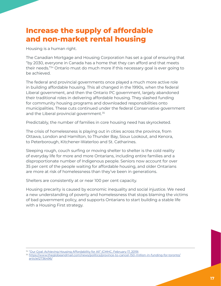## **Increase the supply of affordable and non-market rental housing**

Housing is a human right.

The Canadian Mortgage and Housing Corporation has set a goal of ensuring that "by 2030, everyone in Canada has a home that they can afford and that meets their needs."34 Ontario must do much more if this necessary goal is ever going to be achieved.

The federal and provincial governments once played a much more active role in building affordable housing. This all changed in the 1990s, when the federal Liberal government, and then the Ontario PC government, largely abandoned their traditional roles in delivering affordable housing. They slashed funding for community housing programs and downloaded responsibilities onto municipalities. These cuts continued under the federal Conservative government and the Liberal provincial government.<sup>35</sup>

Predictably, the number of families in core housing need has skyrocketed.

The crisis of homelessness is playing out in cities across the province, from Ottawa, London and Hamilton, to Thunder Bay, Sioux Lookout, and Kenora, to Peterborough, Kitchener-Waterloo and St. Catharines.

Sleeping rough, couch surfing or moving shelter to shelter is the cold reality of everyday life for more and more Ontarians, including entire families and a disproportionate number of Indigenous people. Seniors now account for over 35 per cent of the people waiting for affordable housing, and older Ontarians are more at risk of homelessness than they've been in generations.

Shelters are consistently at or near 100 per cent capacity.

Housing precarity is caused by economic inequality and social injustice. We need a new understanding of poverty and homelessness that stops blaming the victims of bad government policy, and supports Ontarians to start building a stable life with a Housing First strategy.

<sup>34</sup> "Our Goal: Achieving Housing Affordability for All" (CMHC, February 17, 2019)

<sup>35</sup> https://www.theglobeandmail.com/news/politics/province-to-cancel-150-million-in-funding-for-toronto/ article12736496/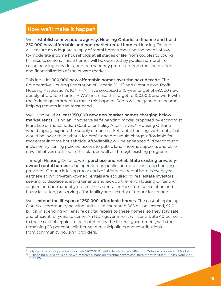#### **How we'll make it happen**

We'll **establish a new public agency, Housing Ontario, to finance and build 250,000 new affordable and non-market rental homes**. Housing Ontario will ensure an adequate supply of rental homes meeting the needs of lowto-moderate income households at all stages of life, from couples to young families to seniors. These homes will be operated by public, non-profit or co-op housing providers, and permanently protected from the speculation and financialization of the private market.

This includes **100,000 new affordable homes over the next decade**. The Co-operative Housing Federation of Canada (CHF) and Ontario Non-Profit Housing Association's (ONPHA) have proposed a 10-year target of 69,000 new deeply-affordable homes.36 We'll increase this target to 100,000, and work with the federal government to make this happen. Rents will be geared to income, helping tenants in the most need.

We'll also build **at least 150,000 new non-market homes charging belowmarket rents**. Using an innovative self-financing model proposed by economist Marc Lee of the Canadian Centre for Policy Alternatives,<sup>37</sup> Housing Ontario would rapidly expand the supply of non-market rental housing, with rents that would be lower than what a for-profit landlord would charge, affordable for moderate-income households. Affordability will be enhanced further through inclusionary zoning policies, access to public land, income supports and other new initiatives outlined in this plan, as well as through existing programs.

Through Housing Ontario, we'll **purchase and rehabilitate existing privatelyowned rental homes** to be operated by public, non-profit or co-op housing providers. Ontario is losing thousands of affordable rental homes every year, as these aging privately-owned rentals are acquired by real estate investors seeking to displace existing tenants and jack up the rent. Housing Ontario will acquire and permanently protect these rental homes from speculation and financialization, preserving affordability and security of tenure for tenants.

We'll **extend the lifespan of 260,000 affordable homes**. The cost of replacing Ontario's community housing units is an estimated \$65 billion. Instead, \$2.6 billion in spending will ensure capital repairs to these homes, so they stay safe and efficient for years to come. An NDP government will contribute 40 per cent to these capital repairs, to be matched by the federal government, with the remaining 20 per cent split between municipalities and contributions from community housing providers.

<sup>36</sup> https://fhcc.coop/wp-content/uploads//2019/02/An-Affordable-Housing-Plan-for-Ontario.compressed-2Adobe.pdf

<sup>&</sup>lt;sup>37</sup> "Financing public housing: how a massive expansion of rental homes can literally pay for itself" (Policy Note, April 21, 2022)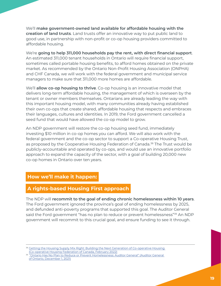We'll **make government-owned land available for affordable housing with the creation of land trusts**. Land trusts offer an innovative way to put public land to good use, in partnership with non-profit or co-op housing providers committed to affordable housing.

We're **going to help 311,000 households pay the rent, with direct financial support**. An estimated 311,000 tenant households in Ontario will require financial support, sometimes called portable housing benefits, to afford homes obtained on the private market. As recommended by the Ontario Non-Profit Housing Association (ONPHA) and CHF Canada, we will work with the federal government and municipal service managers to make sure that 311,000 more homes are affordable.

We'll **allow co-op housing to thrive**. Co-op housing is an innovative model that delivers long-term affordable housing, the management of which is overseen by the tenant or owner members themselves. Ontarians are already leading the way with this important housing model, with many communities already having established their own co-ops that create shared, affordable housing that respects and embraces their languages, cultures and identities. In 2019, the Ford government cancelled a seed fund that would have allowed the co-op model to grow.

An NDP government will restore the co-op housing seed fund, immediately investing \$10 million in co-op homes you can afford. We will also work with the federal government and the co-op sector to support a Co-operative Housing Trust, as proposed by the Cooperative Housing Federation of Canada.<sup>38</sup> The Trust would be publicly-accountable and operated by co-ops, and would use an innovative portfolio approach to expand the capacity of the sector, with a goal of building 20,000 new co-op homes in Ontario over ten years.

### **How we'll make it happen:**

### **A rights-based Housing First approach**

The NDP will **recommit to the goal of ending chronic homelessness within 10 years**. The Ford government ignored the province's goal of ending homelessness by 2025, and defunded anti-poverty programs that supported this goal. The Auditor General said the Ford government "has no plan to reduce or prevent homelessness"<sup>39</sup> An NDP government will recommit to this crucial goal, and ensure funding to see it through.

<sup>&</sup>lt;sup>38</sup> Getting the Housing Supply Mix Right: Building the Next Generation of Co-operative Housing (Co-operative Housing Federation of Canada, February 2022)

<sup>39</sup> "Ontario Has No Plan to Reduce or Prevent Homelessness: Auditor General" (Auditor General of Ontario, December 1, 2021)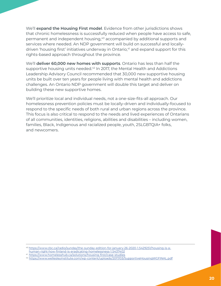We'll **expand the Housing First model**. Evidence from other jurisdictions shows that chronic homelessness is successfully reduced when people have access to safe, permanent and independent housing,<sup>40</sup> accompanied by additional supports and services where needed. An NDP government will build on successful and locallydriven 'housing first' initiatives underway in Ontario,<sup>41</sup> and expand support for this rights-based approach throughout the province.

We'll **deliver 60,000 new homes with supports**. Ontario has less than half the supportive housing units needed.<sup>42</sup> In 2017, the Mental Health and Addictions Leadership Advisory Council recommended that 30,000 new supportive housing units be built over ten years for people living with mental health and addictions challenges. An Ontario NDP government will double this target and deliver on building these new supportive homes.

We'll prioritize local and individual needs, not a one-size-fits-all approach. Our homelessness prevention policies must be locally-driven and individually-focused to respond to the specific needs of both rural and urban regions across the province. This focus is also critical to respond to the needs and lived experiences of Ontarians of all communities, identities, religions, abilities and disabilities – including women, families, Black, Indigenous and racialized people, youth, 2SLGBTQIA+ folks, and newcomers.

<sup>40</sup> https://www.cbc.ca/radio/sunday/the-sunday-edition-for-january-26-2020-1.5429251/housing-is-a-

human-right-how-finland-is-eradicating-homelessness-1.5437402

<sup>41</sup> https://www.homelesshub.ca/solutions/housing-first/case-studies

<sup>42</sup> https://www.wellesleyinstitute.com/wp-content/uploads/2017/03/SupportiveHousingWGFINAL.pdf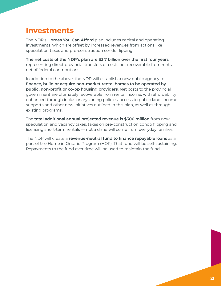## **Investments**

The NDP's **Homes You Can Afford** plan includes capital and operating investments, which are offset by increased revenues from actions like speculation taxes and pre-construction condo flipping.

**The net costs of the NDP's plan are \$3.7 billion over the first four years**, representing direct provincial transfers or costs not recoverable from rents, net of federal contributions.

In addition to the above, the NDP will establish a new public agency to **finance, build or acquire non-market rental homes to be operated by public, non-profit or co-op housing providers**. Net costs to the provincial government are ultimately recoverable from rental income, with affordability enhanced through inclusionary zoning policies, access to public land, income supports and other new initiatives outlined in this plan, as well as through existing programs.

The **total additional annual projected revenue is \$300 million** from new speculation and vacancy taxes, taxes on pre-construction condo flipping and licensing short-term rentals — not a dime will come from everyday families.

The NDP will create a **revenue-neutral fund to finance repayable loans** as a part of the Home in Ontario Program (HOP). That fund will be self-sustaining. Repayments to the fund over time will be used to maintain the fund.